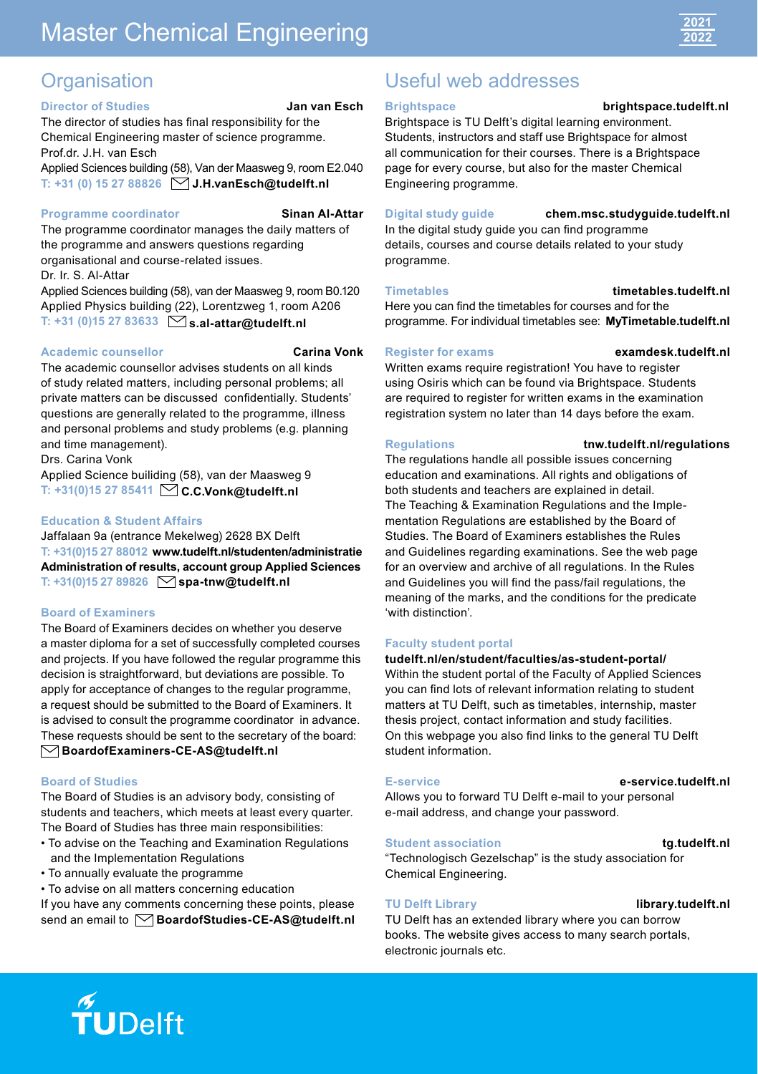# Master Chemical Engineering



# **Organisation**

# **Director of Studies Jan van Esch**

The director of studies has final responsibility for the Chemical Engineering master of science programme. [Prof.dr](http://Prof.dr). J.H. van Esch

Applied Sciences building (58), Van der Maasweg 9, room E2.040 **T: +31 (0) 15 27 88826 [J.H.vanEsch@tudelft.nl](mailto:J.H.vanEsch@tudelft.nl)**

#### **Programme coordinator Sinan Al-Attar**

The programme coordinator manages the daily matters of the programme and answers questions regarding organisational and course-related issues.

Dr. Ir. S. Al-Attar

Applied Sciences building (58), van der Maasweg 9, room B0.120 Applied Physics building (22), Lorentzweg 1, room A206 **T: +31 (0)15 27 83633 [s.al-attar@tudelft.nl](mailto:s.al-attar@tudelft.nl)**

#### **Academic counsellor Carina Vonk**

The academic counsellor advises students on all kinds of study related matters, including personal problems; all private matters can be discussed confidentially. Students' questions are generally related to the programme, illness and personal problems and study problems (e.g. planning and time management).

Drs. Carina Vonk

Applied Science builiding (58), van der Maasweg 9 **T: +31(0)15 27 85411 [C.C.Vonk@tudelft.nl](mailto:C.C.Vonk@tudelft.nl)**

# **Education & Student Affairs**

Jaffalaan 9a (entrance Mekelweg) 2628 BX Delft **T: +31(0)15 27 88012 [www.tudelft.nl/studenten/administratie](http://www.tudelft.nl/studenten/administratie) Administration of results, account group Applied Sciences T: +31(0)15 27 89826 [spa-tnw@tudelft.nl](mailto:spa-tnw@tudelft.nl)**

#### **Board of Examiners**

The Board of Examiners decides on whether you deserve a master diploma for a set of successfully completed courses and projects. If you have followed the regular programme this decision is straightforward, but deviations are possible. To apply for acceptance of changes to the regular programme, a request should be submitted to the Board of Examiners. It is advised to consult the programme coordinator in advance. These requests should be sent to the secretary of the board: **[BoardofExaminers-CE-AS@tudelft.nl](mailto:BoardofExaminers-CE-AS@tudelft.nl)**

# **Board of Studies**

The Board of Studies is an advisory body, consisting of students and teachers, which meets at least every quarter. The Board of Studies has three main responsibilities:

- To advise on the Teaching and Examination Regulations and the Implementation Regulations
- To annually evaluate the programme
- To advise on all matters concerning education

If you have any comments concerning these points, please send an email to **○[BoardofStudies-CE-AS@tudelft.nl](mailto:BoardofStudies-CE-AS@tudelft.nl)** 

# Useful web addresses

# **Brightspace**

#### **[brightspace.tudelft.nl](http://brightspace.tudelft.nl)**

Brightspace is TU Delft's digital learning environment. Students, instructors and staff use Brightspace for almost all communication for their courses. There is a Brightspace page for every course, but also for the master Chemical Engineering programme.

#### **Digital study guide**

**[chem.msc.studyguide.tudelft.nl](http://chem.msc.studyguide.tudelft.nl)**

In the digital study guide you can find programme details, courses and course details related to your study programme.

#### **Timetables**

**[timetables.tudelft.nl](http://timetables.tudelft.nl)**

Here you can find the timetables for courses and for the programme. For individual timetables see: **[MyTimetable.tudelft.nl](http://MyTimetable.tudelft.nl)**

# **Register for exams**

**[examdesk.tudelft.nl](http://examdesk.tudelft.nl)**

Written exams require registration! You have to register using Osiris which can be found via Brightspace. Students are required to register for written exams in the examination registration system no later than 14 days before the exam.

# **Regulations**

#### **[tnw.tudelft.nl/regulations](http://tnw.tudelft.nl/regulations)**

The regulations handle all possible issues concerning education and examinations. All rights and obligations of both students and teachers are explained in detail. The Teaching & Examination Regulations and the Implementation Regulations are established by the Board of Studies. The Board of Examiners establishes the Rules and Guidelines regarding examinations. See the web page for an overview and archive of all regulations. In the Rules and Guidelines you will find the pass/fail regulations, the meaning of the marks, and the conditions for the predicate 'with distinction'.

# **Faculty student portal**

#### **[tudelft.nl/en/student/faculties/as-student-portal/](http://tudelft.nl/en/student/faculties/as-student-portal/)**

Within the student portal of the Faculty of Applied Sciences you can find lots of relevant information relating to student matters at TU Delft, such as timetables, internship, master thesis project, contact information and study facilities. On this webpage you also find links to the general TU Delft student information.

# **E-service**

## **[e-service.tudelft.nl](http://e-service.tudelft.nl)**

Allows you to forward TU Delft e-mail to your personal e-mail address, and change your password.

# **Student association**

#### **[tg.tudelft.nl](http://tg.tudelft.nl)**

**[library.tudelft.nl](http://library.tudelft.nl)**

"Technologisch Gezelschap" is the study association for Chemical Engineering.

# **TU Delft Library**

TU Delft has an extended library where you can borrow books. The website gives access to many search portals, electronic journals etc.

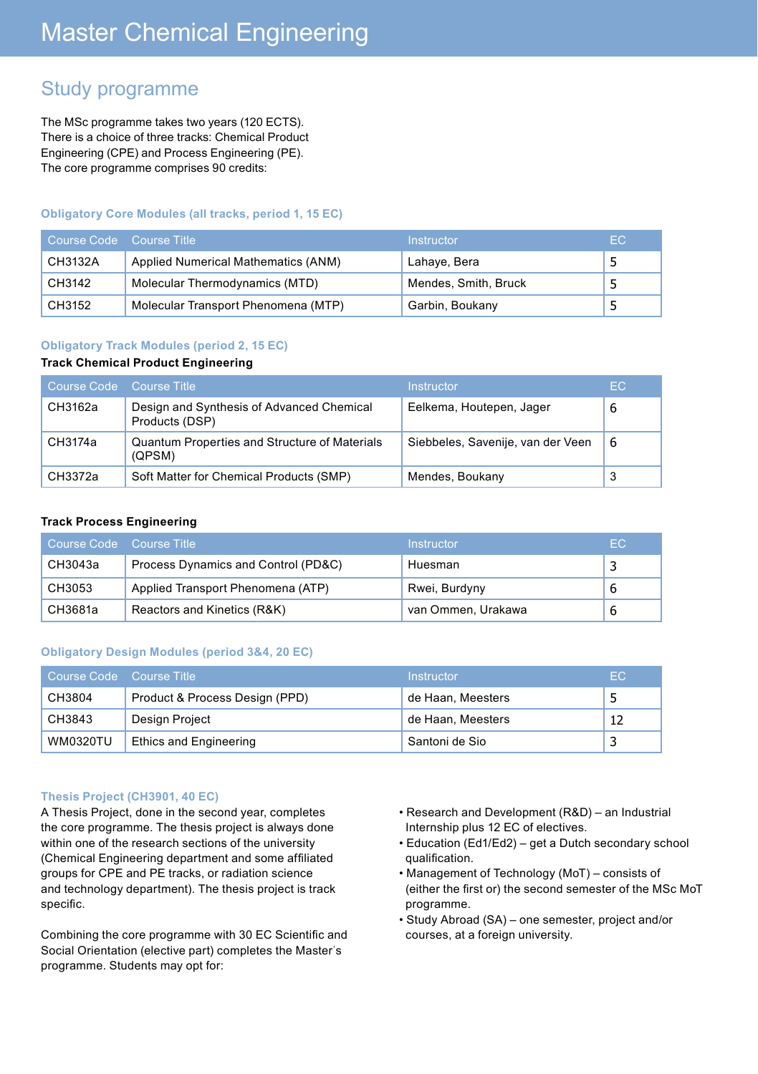# Study programme

The MSc programme takes two years (120 ECTS). There is a choice of three tracks: Chemical Product Engineering (CPE) and Process Engineering (PE). The core programme comprises 90 credits:

# **Obligatory Core Modules (all tracks, period 1, 15 EC)**

| Course Code Course Title |                                     | Instructor           | EC. |
|--------------------------|-------------------------------------|----------------------|-----|
| CH3132A                  | Applied Numerical Mathematics (ANM) | Lahaye, Bera         |     |
| CH3142                   | Molecular Thermodynamics (MTD)      | Mendes, Smith, Bruck |     |
| CH3152                   | Molecular Transport Phenomena (MTP) | Garbin, Boukany      |     |

# **Obligatory Track Modules (period 2, 15 EC)**

#### **Track Chemical Product Engineering**

| Course Code Course Title |                                                                | Instructor                        | EC. |
|--------------------------|----------------------------------------------------------------|-----------------------------------|-----|
| CH3162a                  | Design and Synthesis of Advanced Chemical<br>Products (DSP)    | Eelkema, Houtepen, Jager          | 6   |
| CH3174a                  | <b>Quantum Properties and Structure of Materials</b><br>(QPSM) | Siebbeles, Savenije, van der Veen | -6  |
| CH3372a                  | Soft Matter for Chemical Products (SMP)                        | Mendes, Boukany                   | 3   |

# **Track Process Engineering**

| Course Code | Course Title                        | Instructor         | EC. |
|-------------|-------------------------------------|--------------------|-----|
| CH3043a     | Process Dynamics and Control (PD&C) | Huesman            |     |
| CH3053      | Applied Transport Phenomena (ATP)   | Rwei, Burdyny      |     |
| CH3681a     | Reactors and Kinetics (R&K)         | van Ommen, Urakawa |     |

# **Obligatory Design Modules (period 3&4, 20 EC)**

| Course Code Course Title |                                | Instructor        | EC. |
|--------------------------|--------------------------------|-------------------|-----|
| CH3804                   | Product & Process Design (PPD) | de Haan, Meesters |     |
| CH3843                   | Design Project                 | de Haan, Meesters | 12  |
| WM0320TU                 | <b>Ethics and Engineering</b>  | Santoni de Sio    |     |

#### **Thesis Project (CH3901, 40 EC)**

A Thesis Project, done in the second year, completes the core programme. The thesis project is always done within one of the research sections of the university (Chemical Engineering department and some affiliated groups for CPE and PE tracks, or radiation science and technology department). The thesis project is track specific.

Combining the core programme with 30 EC Scientific and Social Orientation (elective part) completes the Master's programme. Students may opt for:

- Research and Development (R&D) an Industrial Internship plus 12 EC of electives.
- Education (Ed1/Ed2) get a Dutch secondary school qualification.
- Management of Technology (MoT) consists of (either the first or) the second semester of the MSc MoT programme.
- Study Abroad (SA) one semester, project and/or courses, at a foreign university.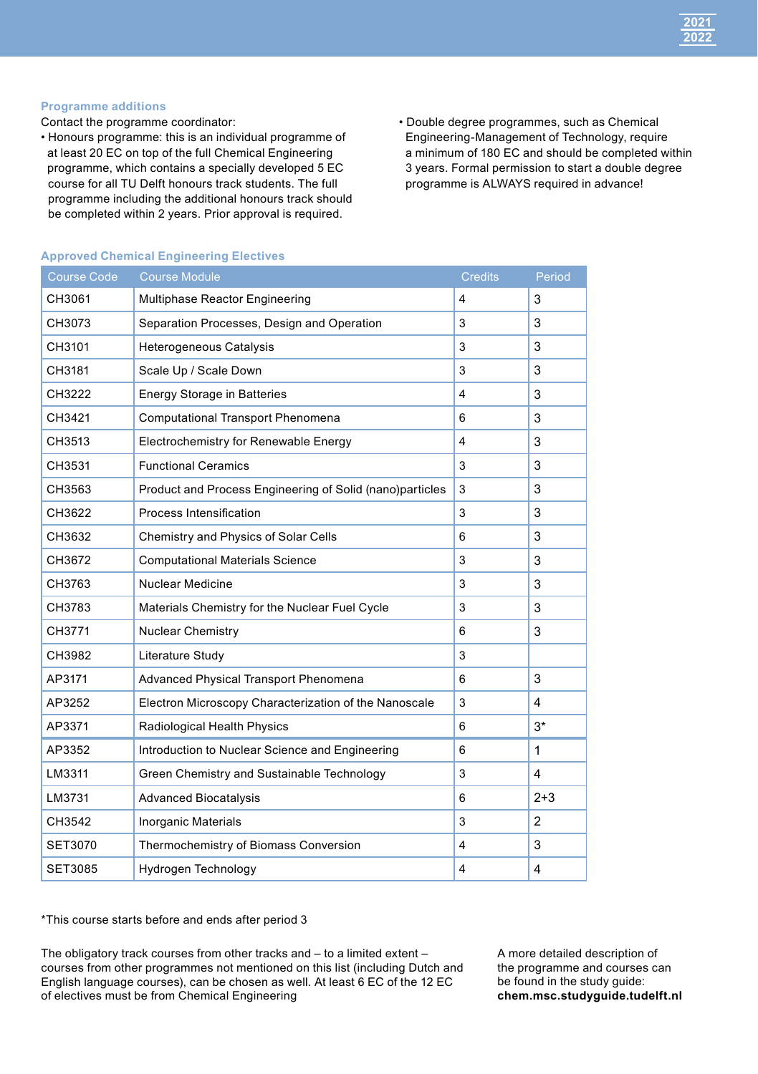

#### **Programme additions**

Contact the programme coordinator:

- Honours programme: this is an individual programme of at least 20 EC on top of the full Chemical Engineering programme, which contains a specially developed 5 EC course for all TU Delft honours track students. The full programme including the additional honours track should be completed within 2 years. Prior approval is required.
- Double degree programmes, such as Chemical Engineering-Management of Technology, require a minimum of 180 EC and should be completed within 3 years. Formal permission to start a double degree programme is ALWAYS required in advance!

| <b>Course Code</b> | <b>Course Module</b>                                     | <b>Credits</b>          | Period         |
|--------------------|----------------------------------------------------------|-------------------------|----------------|
| CH3061             | Multiphase Reactor Engineering                           | 4                       | 3              |
| CH3073             | Separation Processes, Design and Operation               | 3                       | 3              |
| CH3101             | Heterogeneous Catalysis                                  | 3                       | 3              |
| CH3181             | Scale Up / Scale Down                                    | 3                       | 3              |
| CH3222             | <b>Energy Storage in Batteries</b>                       | $\overline{\mathbf{4}}$ | 3              |
| CH3421             | Computational Transport Phenomena                        | 6                       | 3              |
| CH3513             | Electrochemistry for Renewable Energy                    | 4                       | 3              |
| CH3531             | <b>Functional Ceramics</b>                               | 3                       | 3              |
| CH3563             | Product and Process Engineering of Solid (nano)particles | 3                       | 3              |
| CH3622             | Process Intensification                                  | 3                       | 3              |
| CH3632             | Chemistry and Physics of Solar Cells                     | 6                       | 3              |
| CH3672             | <b>Computational Materials Science</b>                   | 3                       | 3              |
| CH3763             | Nuclear Medicine                                         | 3                       | 3              |
| CH3783             | Materials Chemistry for the Nuclear Fuel Cycle           | 3                       | 3              |
| CH3771             | Nuclear Chemistry                                        | 6                       | 3              |
| CH3982             | Literature Study                                         | 3                       |                |
| AP3171             | Advanced Physical Transport Phenomena                    | 6                       | 3              |
| AP3252             | Electron Microscopy Characterization of the Nanoscale    | 3                       | 4              |
| AP3371             | Radiological Health Physics                              | 6                       | $3*$           |
| AP3352             | Introduction to Nuclear Science and Engineering          | 6                       | $\mathbf{1}$   |
| LM3311             | Green Chemistry and Sustainable Technology               | 3                       | 4              |
| LM3731             | <b>Advanced Biocatalysis</b>                             | 6                       | $2 + 3$        |
| CH3542             | <b>Inorganic Materials</b>                               | 3                       | $\overline{2}$ |
| <b>SET3070</b>     | Thermochemistry of Biomass Conversion                    | 4                       | 3              |
| SET3085            | Hydrogen Technology                                      | 4                       | 4              |

#### **Approved Chemical Engineering Electives**

\*This course starts before and ends after period 3

The obligatory track courses from other tracks and  $-$  to a limited extent  $$ courses from other programmes not mentioned on this list (including Dutch and English language courses), can be chosen as well. At least 6 EC of the 12 EC of electives must be from Chemical Engineering

A more detailed description of the programme and courses can be found in the study guide: **[chem.msc.studyguide.tudelft.nl](http://chem.msc.studyguide.tudelft.nl)**